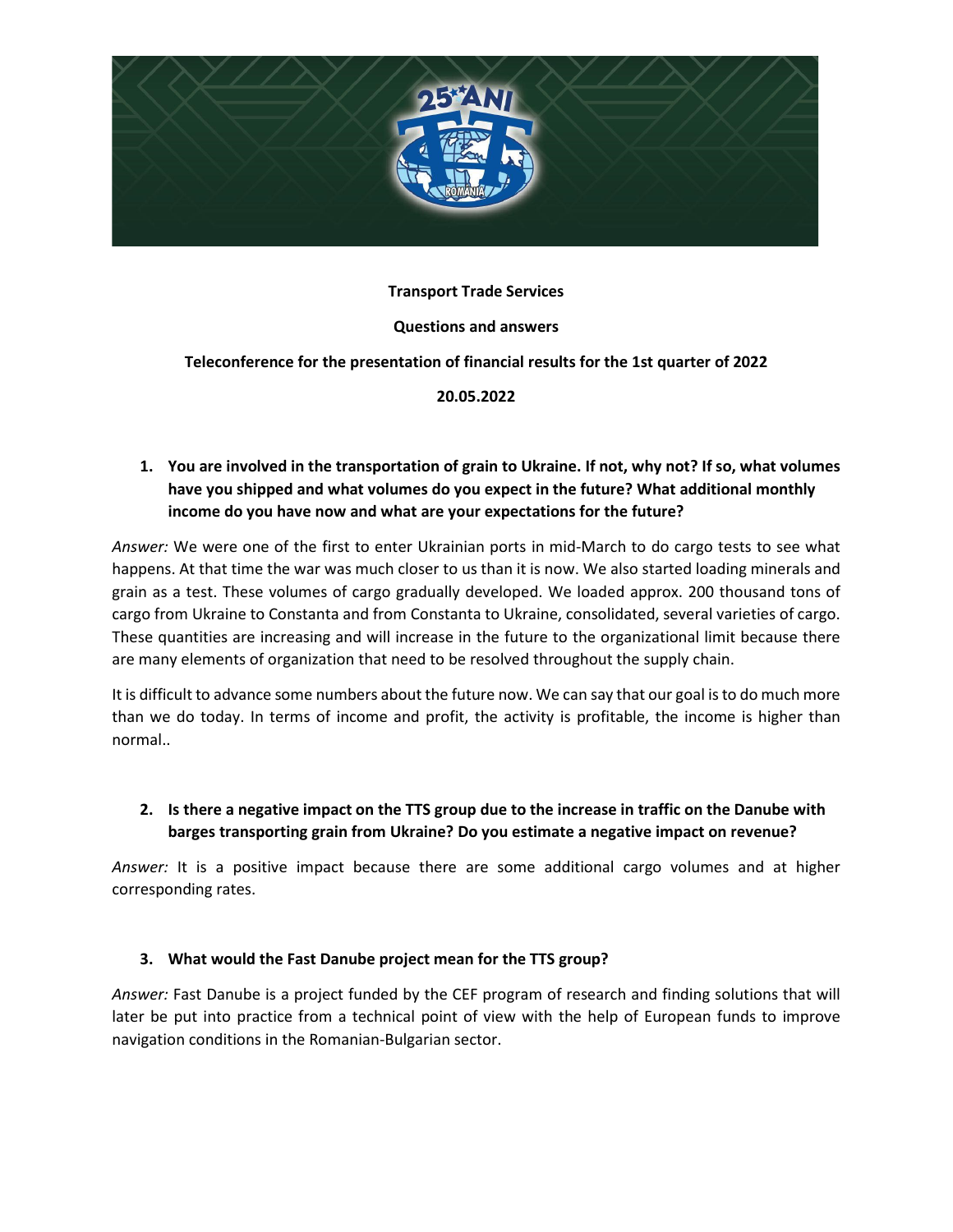

### **Transport Trade Services**

### **Questions and answers**

### **Teleconference for the presentation of financial results for the 1st quarter of 2022**

### **20.05.2022**

# **1. You are involved in the transportation of grain to Ukraine. If not, why not? If so, what volumes have you shipped and what volumes do you expect in the future? What additional monthly income do you have now and what are your expectations for the future?**

*Answer:* We were one of the first to enter Ukrainian ports in mid-March to do cargo tests to see what happens. At that time the war was much closer to us than it is now. We also started loading minerals and grain as a test. These volumes of cargo gradually developed. We loaded approx. 200 thousand tons of cargo from Ukraine to Constanta and from Constanta to Ukraine, consolidated, several varieties of cargo. These quantities are increasing and will increase in the future to the organizational limit because there are many elements of organization that need to be resolved throughout the supply chain.

It is difficult to advance some numbers about the future now. We can say that our goal is to do much more than we do today. In terms of income and profit, the activity is profitable, the income is higher than normal..

## **2. Is there a negative impact on the TTS group due to the increase in traffic on the Danube with barges transporting grain from Ukraine? Do you estimate a negative impact on revenue?**

*Answer:* It is a positive impact because there are some additional cargo volumes and at higher corresponding rates.

#### **3. What would the Fast Danube project mean for the TTS group?**

*Answer:* Fast Danube is a project funded by the CEF program of research and finding solutions that will later be put into practice from a technical point of view with the help of European funds to improve navigation conditions in the Romanian-Bulgarian sector.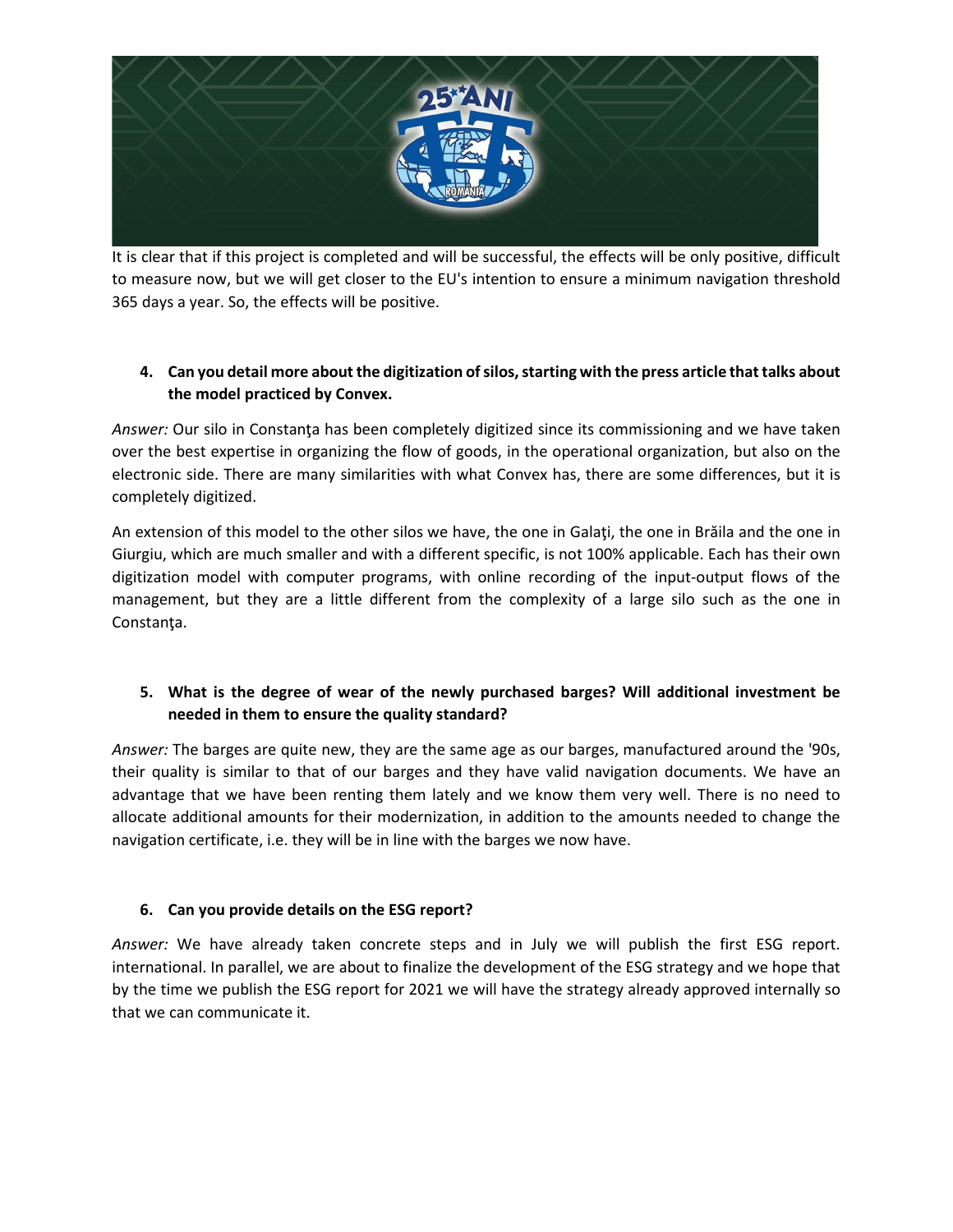

It is clear that if this project is completed and will be successful, the effects will be only positive, difficult to measure now, but we will get closer to the EU's intention to ensure a minimum navigation threshold 365 days a year. So, the effects will be positive.

# **4. Can you detail more about the digitization of silos, starting with the press article that talks about the model practiced by Convex.**

Answer: Our silo in Constanta has been completely digitized since its commissioning and we have taken over the best expertise in organizing the flow of goods, in the operational organization, but also on the electronic side. There are many similarities with what Convex has, there are some differences, but it is completely digitized.

An extension of this model to the other silos we have, the one in Galaţi, the one in Brăila and the one in Giurgiu, which are much smaller and with a different specific, is not 100% applicable. Each has their own digitization model with computer programs, with online recording of the input-output flows of the management, but they are a little different from the complexity of a large silo such as the one in Constanţa.

## **5. What is the degree of wear of the newly purchased barges? Will additional investment be needed in them to ensure the quality standard?**

*Answer:* The barges are quite new, they are the same age as our barges, manufactured around the '90s, their quality is similar to that of our barges and they have valid navigation documents. We have an advantage that we have been renting them lately and we know them very well. There is no need to allocate additional amounts for their modernization, in addition to the amounts needed to change the navigation certificate, i.e. they will be in line with the barges we now have.

# **6. Can you provide details on the ESG report?**

*Answer:* We have already taken concrete steps and in July we will publish the first ESG report. international. In parallel, we are about to finalize the development of the ESG strategy and we hope that by the time we publish the ESG report for 2021 we will have the strategy already approved internally so that we can communicate it.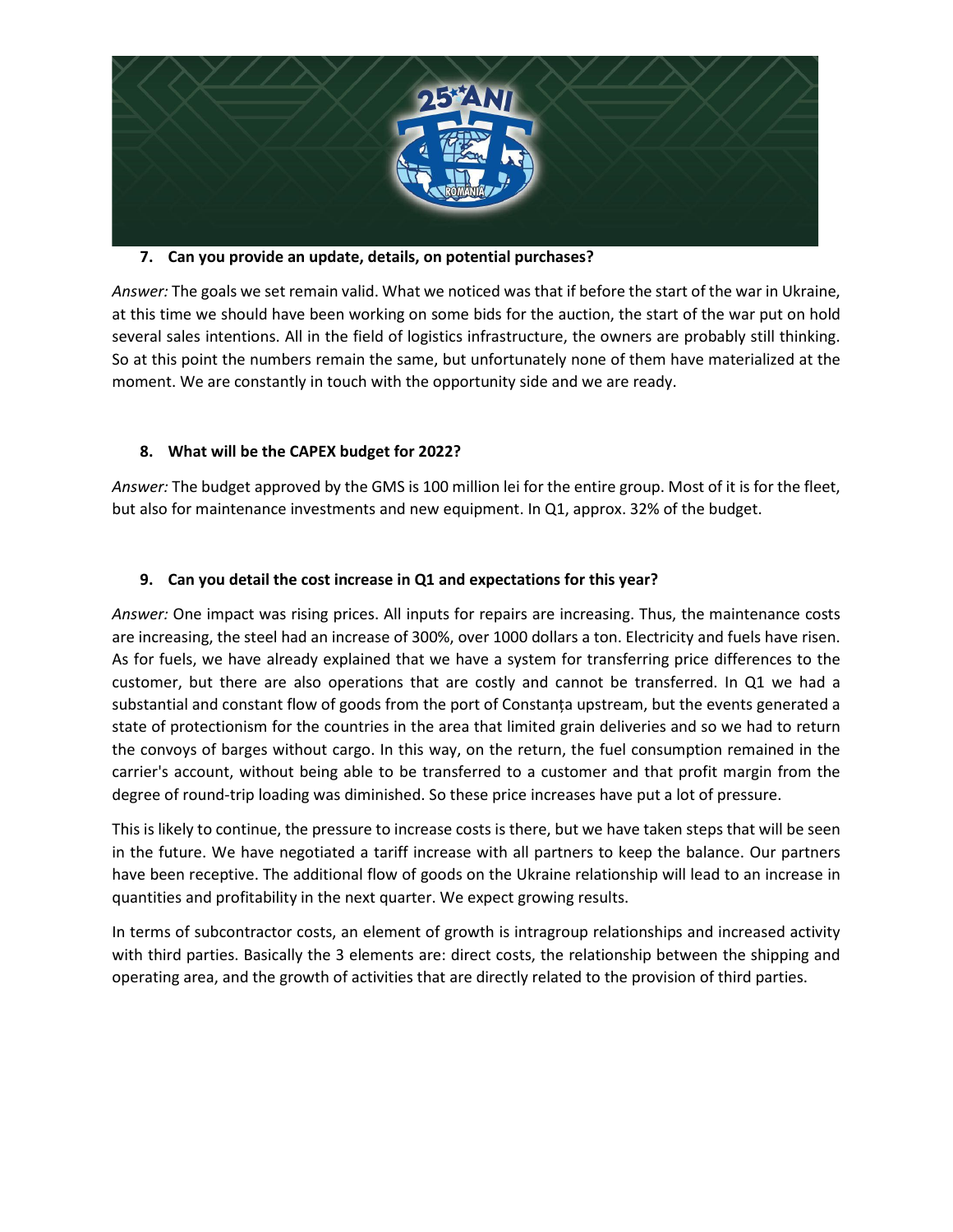

#### **7. Can you provide an update, details, on potential purchases?**

*Answer:* The goals we set remain valid. What we noticed was that if before the start of the war in Ukraine, at this time we should have been working on some bids for the auction, the start of the war put on hold several sales intentions. All in the field of logistics infrastructure, the owners are probably still thinking. So at this point the numbers remain the same, but unfortunately none of them have materialized at the moment. We are constantly in touch with the opportunity side and we are ready.

## **8. What will be the CAPEX budget for 2022?**

*Answer:* The budget approved by the GMS is 100 million lei for the entire group. Most of it is for the fleet, but also for maintenance investments and new equipment. In Q1, approx. 32% of the budget.

## **9. Can you detail the cost increase in Q1 and expectations for this year?**

*Answer:* One impact was rising prices. All inputs for repairs are increasing. Thus, the maintenance costs are increasing, the steel had an increase of 300%, over 1000 dollars a ton. Electricity and fuels have risen. As for fuels, we have already explained that we have a system for transferring price differences to the customer, but there are also operations that are costly and cannot be transferred. In Q1 we had a substantial and constant flow of goods from the port of Constanța upstream, but the events generated a state of protectionism for the countries in the area that limited grain deliveries and so we had to return the convoys of barges without cargo. In this way, on the return, the fuel consumption remained in the carrier's account, without being able to be transferred to a customer and that profit margin from the degree of round-trip loading was diminished. So these price increases have put a lot of pressure.

This is likely to continue, the pressure to increase costs is there, but we have taken steps that will be seen in the future. We have negotiated a tariff increase with all partners to keep the balance. Our partners have been receptive. The additional flow of goods on the Ukraine relationship will lead to an increase in quantities and profitability in the next quarter. We expect growing results.

In terms of subcontractor costs, an element of growth is intragroup relationships and increased activity with third parties. Basically the 3 elements are: direct costs, the relationship between the shipping and operating area, and the growth of activities that are directly related to the provision of third parties.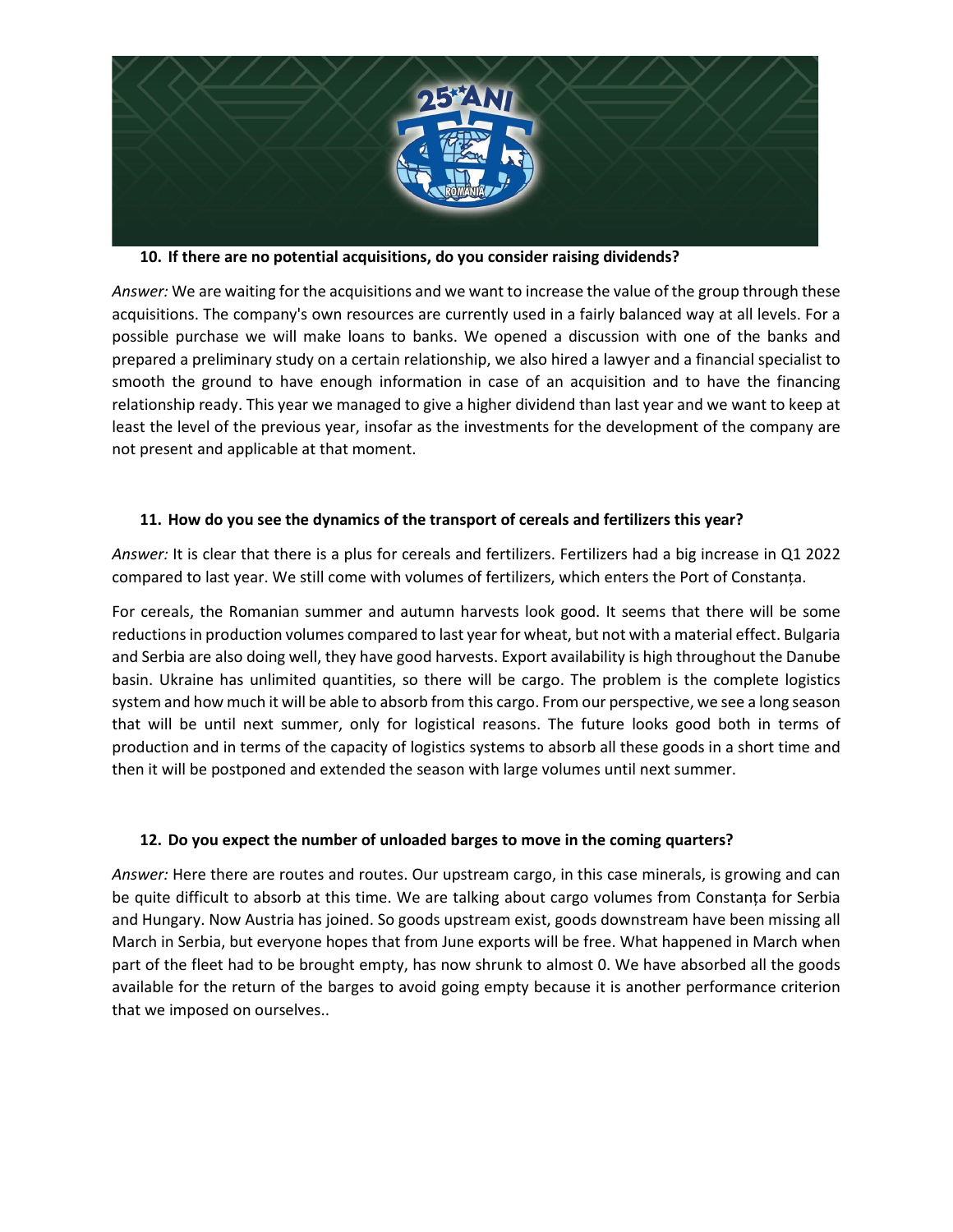

**10. If there are no potential acquisitions, do you consider raising dividends?** 

*Answer:* We are waiting for the acquisitions and we want to increase the value of the group through these acquisitions. The company's own resources are currently used in a fairly balanced way at all levels. For a possible purchase we will make loans to banks. We opened a discussion with one of the banks and prepared a preliminary study on a certain relationship, we also hired a lawyer and a financial specialist to smooth the ground to have enough information in case of an acquisition and to have the financing relationship ready. This year we managed to give a higher dividend than last year and we want to keep at least the level of the previous year, insofar as the investments for the development of the company are not present and applicable at that moment.

## **11. How do you see the dynamics of the transport of cereals and fertilizers this year?**

*Answer:* It is clear that there is a plus for cereals and fertilizers. Fertilizers had a big increase in Q1 2022 compared to last year. We still come with volumes of fertilizers, which enters the Port of Constanța.

For cereals, the Romanian summer and autumn harvests look good. It seems that there will be some reductions in production volumes compared to last year for wheat, but not with a material effect. Bulgaria and Serbia are also doing well, they have good harvests. Export availability is high throughout the Danube basin. Ukraine has unlimited quantities, so there will be cargo. The problem is the complete logistics system and how much it will be able to absorb from this cargo. From our perspective, we see a long season that will be until next summer, only for logistical reasons. The future looks good both in terms of production and in terms of the capacity of logistics systems to absorb all these goods in a short time and then it will be postponed and extended the season with large volumes until next summer.

## **12. Do you expect the number of unloaded barges to move in the coming quarters?**

*Answer:* Here there are routes and routes. Our upstream cargo, in this case minerals, is growing and can be quite difficult to absorb at this time. We are talking about cargo volumes from Constanța for Serbia and Hungary. Now Austria has joined. So goods upstream exist, goods downstream have been missing all March in Serbia, but everyone hopes that from June exports will be free. What happened in March when part of the fleet had to be brought empty, has now shrunk to almost 0. We have absorbed all the goods available for the return of the barges to avoid going empty because it is another performance criterion that we imposed on ourselves..